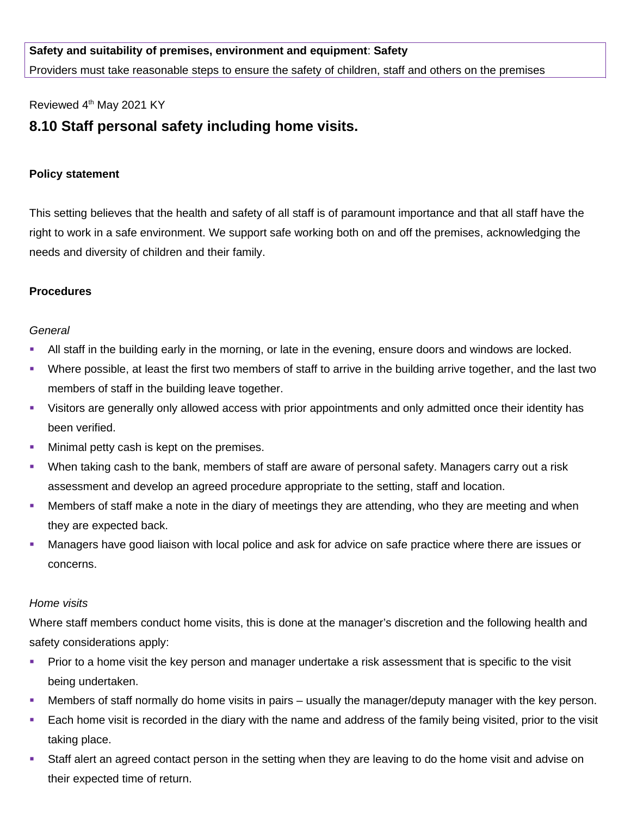# **Safety and suitability of premises, environment and equipment**: **Safety**

Providers must take reasonable steps to ensure the safety of children, staff and others on the premises

### Reviewed 4<sup>th</sup> May 2021 KY

# **8.10 Staff personal safety including home visits.**

#### **Policy statement**

This setting believes that the health and safety of all staff is of paramount importance and that all staff have the right to work in a safe environment. We support safe working both on and off the premises, acknowledging the needs and diversity of children and their family.

### **Procedures**

### *General*

- All staff in the building early in the morning, or late in the evening, ensure doors and windows are locked.
- Where possible, at least the first two members of staff to arrive in the building arrive together, and the last two members of staff in the building leave together.
- Visitors are generally only allowed access with prior appointments and only admitted once their identity has been verified.
- **Minimal petty cash is kept on the premises.**
- When taking cash to the bank, members of staff are aware of personal safety. Managers carry out a risk assessment and develop an agreed procedure appropriate to the setting, staff and location.
- Members of staff make a note in the diary of meetings they are attending, who they are meeting and when they are expected back.
- Managers have good liaison with local police and ask for advice on safe practice where there are issues or concerns.

#### *Home visits*

Where staff members conduct home visits, this is done at the manager's discretion and the following health and safety considerations apply:

- **Prior to a home visit the key person and manager undertake a risk assessment that is specific to the visit is not all of the visit** being undertaken.
- Members of staff normally do home visits in pairs usually the manager/deputy manager with the key person.
- Each home visit is recorded in the diary with the name and address of the family being visited, prior to the visit taking place.
- Staff alert an agreed contact person in the setting when they are leaving to do the home visit and advise on their expected time of return.